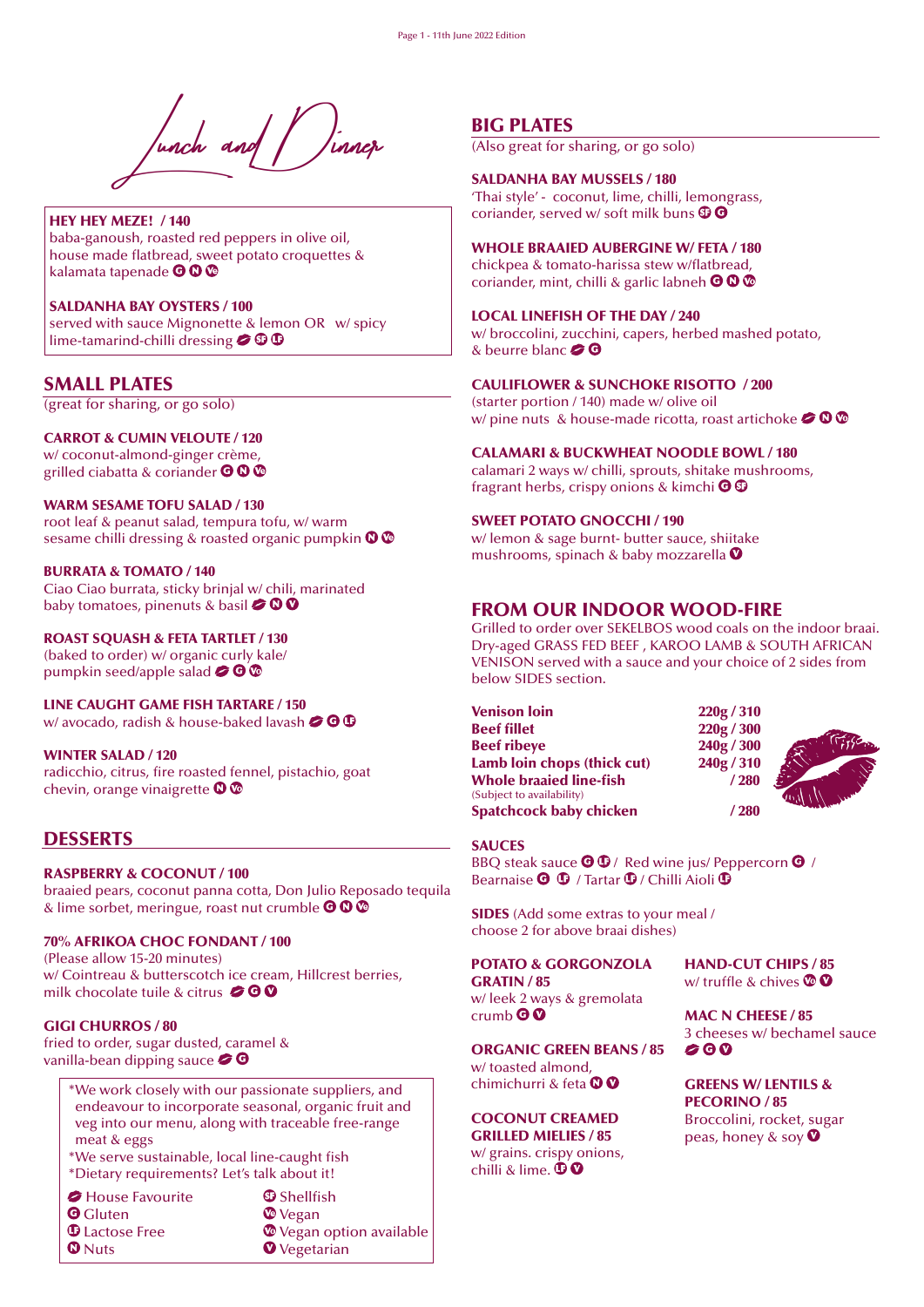

HEY HEY MEZE! / 140 baba-ganoush, roasted red peppers in olive oil, house made flatbread, sweet potato croquettes & kalamata tapenade **OO** 

SALDANHA BAY OYSTERS / 100 served with sauce Mignonette & lemon OR w/ spicy lime-tamarind-chilli dressing  $\bigcirc$   $\mathbf{\odot}$ 

## SMALL PLATES

(great for sharing, or go solo)

CARROT & CUMIN VELOUTE / 120 w/ coconut-almond-ginger crème, grilled ciabatta & coriander **O O O** 

WARM SESAME TOFU SALAD / 130 root leaf & peanut salad, tempura tofu, w/ warm sesame chilli dressing & roasted organic pumpkin  $\mathbf{O} \mathbf{O}$ 

BURRATA & TOMATO / 140 Ciao Ciao burrata, sticky brinjal w/ chili, marinated baby tomatoes, pinenuts & basil  $\bigcirc$  0 0

ROAST SQUASH & FETA TARTLET / 130 (baked to order) w/ organic curly kale/ pumpkin seed/apple salad  $\bigcirc$   $\odot$   $\odot$ 

LINE CAUGHT GAME FISH TARTARE / 150 w/ avocado, radish & house-baked lavash  $\bigcirc \mathbf{\Theta} \mathbf{\Phi}$ 

WINTER SALAD / 120 radicchio, citrus, fire roasted fennel, pistachio, goat chevin, orange vinaigrette  $\mathbf{O} \mathbf{O}$ 

## **DESSERTS**

#### RASPBERRY & COCONUT / 100

braaied pears, coconut panna cotta, Don Julio Reposado tequila & lime sorbet, meringue, roast nut crumble  $\bigcirc \mathbb{O} \bigcirc$ 

#### 70% AFRIKOA CHOC FONDANT / 100

(Please allow 15-20 minutes) w/ Cointreau & butterscotch ice cream, Hillcrest berries, milk chocolate tuile & citrus  $\bigcirc \mathbf{\odot} \mathbf{\odot}$ 

#### GIGI CHURROS / 80

fried to order, sugar dusted, caramel & vanilla-bean dipping sauce  $\bullet \bullet$ 

> \*We work closely with our passionate suppliers, and endeavour to incorporate seasonal, organic fruit and veg into our menu, along with traceable free-range meat & eggs

\*We serve sustainable, local line-caught fish \*Dietary requirements? Let's talk about it!

*House Favourite* 

**G** Gluten

*<u>D</u>* Lactose Free

**O** Nuts

 $\Phi$  Shellfish *<sup>*</sup> Vegan Vegan option available *O* Vegetarian

## BIG PLATES

(Also great for sharing, or go solo)

SALDANHA BAY MUSSELS / 180 'Thai style' - coconut, lime, chilli, lemongrass, coriander, served w/ soft milk buns  $\mathbf{\mathfrak{S}}\mathbf{\Theta}$ 

WHOLE BRAAIED AUBERGINE W/ FETA / 180 chickpea & tomato-harissa stew w/flatbread,

coriander, mint, chilli & garlic labneh  $\bigcirc \mathbb{O} \mathbb{O}$ 

LOCAL LINEFISH OF THE DAY / 240

w/ broccolini, zucchini, capers, herbed mashed potato, & beurre blanc  $\bullet$   $\bullet$ 

#### CAULIFLOWER & SUNCHOKE RISOTTO / 200

(starter portion / 140) made w/ olive oil w/ pine nuts & house-made ricotta, roast artichoke  $\bigcirc$  0  $\circ$ 

#### CALAMARI & BUCKWHEAT NOODLE BOWL / 180

calamari 2 ways w/ chilli, sprouts, shitake mushrooms, fragrant herbs, crispy onions & kimchi  $\Theta$   $\mathbb{G}$ 

#### SWEET POTATO GNOCCHI / 190

w/ lemon & sage burnt- butter sauce, shiitake mushrooms, spinach & baby mozzarella  $\bullet$ 

#### FROM OUR INDOOR WOOD-FIRE

Grilled to order over SEKELBOS wood coals on the indoor braai. Dry-aged GRASS FED BEEF , KAROO LAMB & SOUTH AFRICAN VENISON served with a sauce and your choice of 2 sides from below SIDES section.

Venison loin 220g / 310<br>Beef fillet 220g / 300 Beef ribeye 240g / 300<br>Lamb loin chops (thick cut) 240g / 310 Lamb  $\text{loin}$  chops (thick cut) Whole braaied line-fish 1280 (Subject to availability) Spatchcock baby chicken / 280



#### SAUCES

BBQ steak sauce  $\bigcirc$   $\mathbb{G}/$  Red wine jus/ Peppercorn  $\bigcirc$  / Bearnaise  $\mathbf{\Theta} \oplus \mathbf{\Lambda}$  / Tartar  $\mathbf{\Phi}$  / Chilli Aioli  $\mathbf{\Phi}$ 

SIDES (Add some extras to your meal / choose 2 for above braai dishes)

#### . POTATO & GORGONZOLA

GRATIN / 85 w/ leek 2 ways & gremolata  $crumb$  $@$ 

ORGANIC GREEN BEANS / 85 w/ toasted almond, chimichurri & feta <sup>OO</sup>

COCONUT CREAMED GRILLED MIELIES / 85 w/ grains. crispy onions,

chilli & lime.  $\mathbf{\mathbf{\Phi}}\mathbf{\Omega}$ 

#### HAND-CUT CHIPS / 85 w/ truffle & chives  $\mathbf{\odot} \mathbf{\odot}$

MAC N CHEESE / 85 3 cheeses w/ bechamel sauce

GREENS W/ LENTILS & PECORINO / 85 Broccolini, rocket, sugar peas, honey & soy  $\bullet$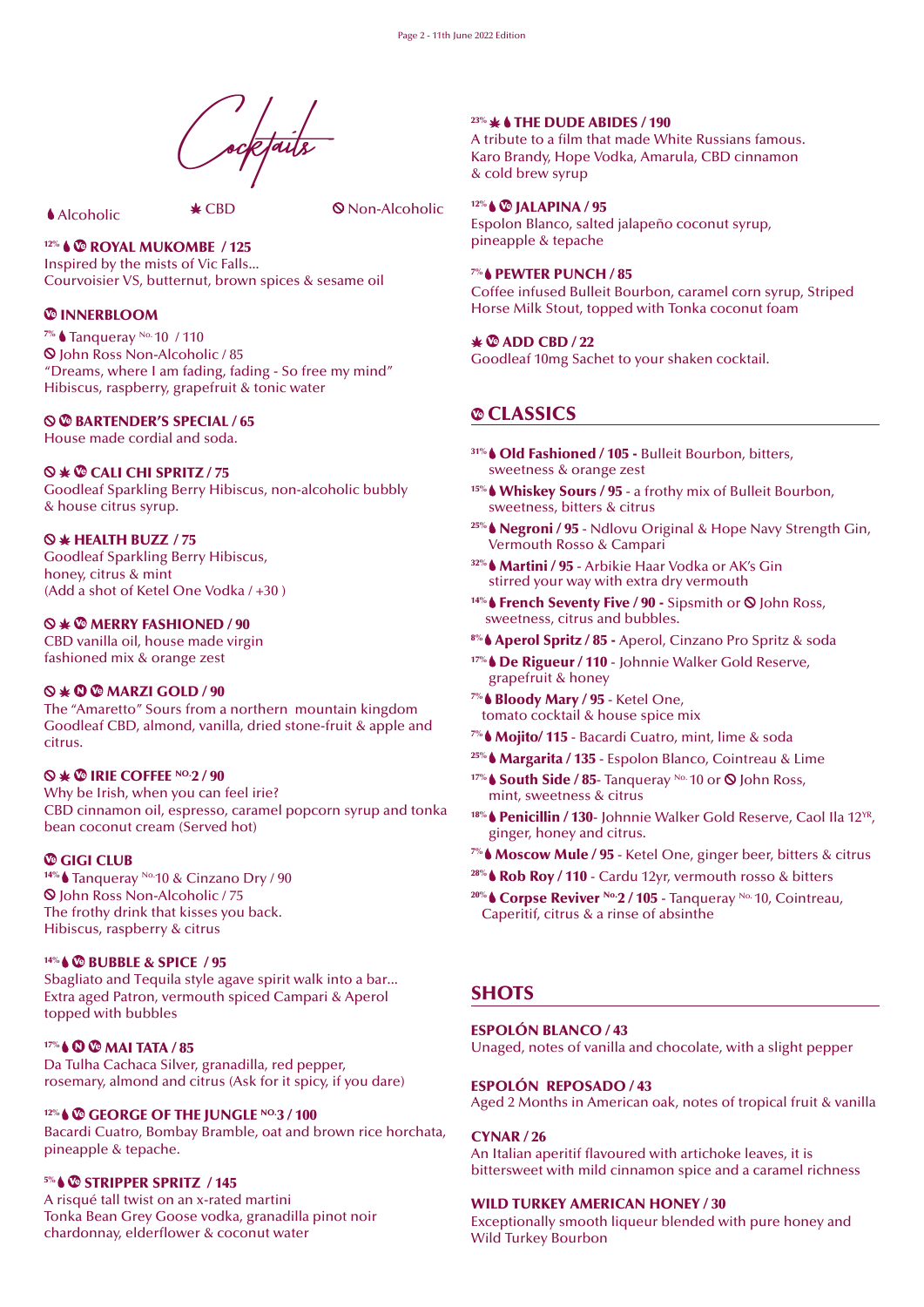ocktails

Alcoholic CBD Non-Alcoholic

# 12% & <sup>®</sup> ROYAL MUKOMBE / 125

Inspired by the mists of Vic Falls... Courvoisier VS, butternut, brown spices & sesame oil

## *<sup>@</sup>INNERBLOOM*

<sup>7%</sup> ● Tanqueray No. 10 / 110 John Ross Non-Alcoholic / 85 "Dreams, where I am fading, fading - So free my mind" Hibiscus, raspberry, grapefruit & tonic water

## $\odot$  **<b>@** BARTENDER'S SPECIAL / 65

House made cordial and soda.

## CALI CHI SPRITZ / 75

Goodleaf Sparkling Berry Hibiscus, non-alcoholic bubbly & house citrus syrup.

## $\otimes$   $*$  HEALTH BUZZ / 75

Goodleaf Sparkling Berry Hibiscus, honey, citrus & mint (Add a shot of Ketel One Vodka / +30 )

## $\otimes$   $\ast$   $\otimes$  MERRY FASHIONED / 90

CBD vanilla oil, house made virgin fashioned mix & orange zest

## $\Diamond \ast \mathbf{O} \otimes \mathbf{M}$ ARZI GOLD / 90

The "Amaretto" Sours from a northern mountain kingdom Goodleaf CBD, almond, vanilla, dried stone-fruit & apple and citrus.

## $\otimes$   $*$   $\otimes$  IRIE COFFEE NO.2 / 90

Why be Irish, when you can feel irie? CBD cinnamon oil, espresso, caramel popcorn syrup and tonka bean coconut cream (Served hot)

## *C* GIGI CLUB

<sup>14%</sup> Tanqueray <sup>No.</sup>10 & Cinzano Dry / 90 John Ross Non-Alcoholic / 75 The frothy drink that kisses you back. Hibiscus, raspberry & citrus

## 14% **& BUBBLE & SPICE / 95**

Sbagliato and Tequila style agave spirit walk into a bar... Extra aged Patron, vermouth spiced Campari & Aperol topped with bubbles

## 17% & **C C** MAI TATA / 85

Da Tulha Cachaca Silver, granadilla, red pepper, rosemary, almond and citrus (Ask for it spicy, if you dare)

## 12% GEORGE OF THE JUNGLE NO.3 / 100

Bacardi Cuatro, Bombay Bramble, oat and brown rice horchata, pineapple & tepache.

## 5% STRIPPER SPRITZ / 145

A risqué tall twist on an x-rated martini Tonka Bean Grey Goose vodka, granadilla pinot noir chardonnay, elderflower & coconut water

#### $23\% +$  THE DUDE ABIDES / 190

A tribute to a film that made White Russians famous. Karo Brandy, Hope Vodka, Amarula, CBD cinnamon & cold brew syrup

#### <sup>12%</sup> ↓ © JALAPINA / 95

Espolon Blanco, salted jalapeño coconut syrup, pineapple & tepache

## **7% & PEWTER PUNCH / 85**

Coffee infused Bulleit Bourbon, caramel corn syrup, Striped Horse Milk Stout, topped with Tonka coconut foam

## $\angle$   $\otimes$  ADD CBD / 22

Goodleaf 10mg Sachet to your shaken cocktail.

# CLASSICS

- 31% Old Fashioned / 105 Bulleit Bourbon, bitters, sweetness & orange zest
- 15% Whiskey Sours / 95 a frothy mix of Bulleit Bourbon, sweetness, bitters & citrus
- <sup>25%</sup> Negroni / 95 Ndlovu Original & Hope Navy Strength Gin, Vermouth Rosso & Campari
- 32% Martini / 95 Arbikie Haar Vodka or AK's Gin stirred your way with extra dry vermouth
- <sup>14%</sup> French Seventy Five / 90 Sipsmith or <sup>○</sup> John Ross, sweetness, citrus and bubbles.
- <sup>8%</sup> ♦ Aperol Spritz / 85 Aperol, Cinzano Pro Spritz & soda
- 17% De Rigueur / 110 Johnnie Walker Gold Reserve, grapefruit & honey
- 7% Bloody Mary / 95 Ketel One, tomato cocktail & house spice mix
- <sup>7%</sup> ♦ Mojito/ 115 Bacardi Cuatro, mint, lime & soda
- <sup>25%</sup> ★ Margarita / 135 Espolon Blanco, Cointreau & Lime
- 17% South Side / 85- Tangueray No. 10 or  $\odot$  John Ross, mint, sweetness & citrus
- <sup>18%</sup> Penicillin / 130- Johnnie Walker Gold Reserve, Caol Ila 12<sup>YR</sup>, ginger, honey and citrus.
- $7\%$  Moscow Mule / 95 Ketel One, ginger beer, bitters & citrus
- $28\%$  Rob Roy / 110 Cardu 12yr, vermouth rosso & bitters
- <sup>20%</sup> Corpse Reviver <sup>No.</sup> 2 / 105 Tangueray <sup>No.</sup> 10, Cointreau, Caperitif, citrus & a rinse of absinthe

# **SHOTS**

## ESPOLÓN BLANCO / 43

Unaged, notes of vanilla and chocolate, with a slight pepper

## ESPOLÓN REPOSADO / 43

Aged 2 Months in American oak, notes of tropical fruit & vanilla

## CYNAR / 26

An Italian aperitif flavoured with artichoke leaves, it is bittersweet with mild cinnamon spice and a caramel richness

## WILD TURKEY AMERICAN HONEY / 30

Exceptionally smooth liqueur blended with pure honey and Wild Turkey Bourbon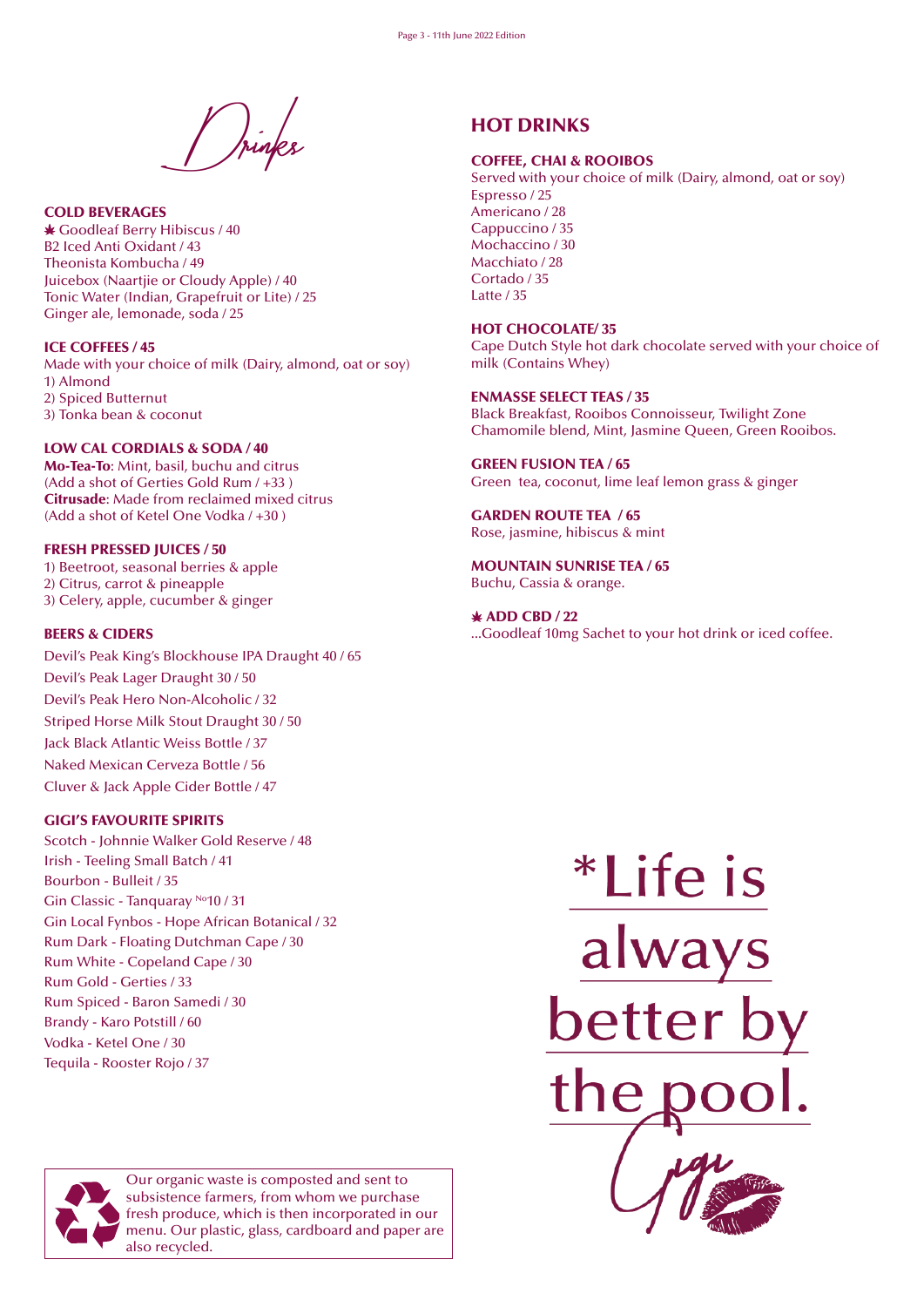Drinks

COLD BEVERAGES Goodleaf Berry Hibiscus / 40 B2 Iced Anti Oxidant / 43 Theonista Kombucha / 49 Juicebox (Naartjie or Cloudy Apple) / 40 Tonic Water (Indian, Grapefruit or Lite) / 25 Ginger ale, lemonade, soda / 25

ICE COFFEES / 45 Made with your choice of milk (Dairy, almond, oat or soy) 1) Almond 2) Spiced Butternut 3) Tonka bean & coconut

#### LOW CAL CORDIALS & SODA / 40

Mo-Tea-To: Mint, basil, buchu and citrus (Add a shot of Gerties Gold Rum / +33 ) Citrusade: Made from reclaimed mixed citrus (Add a shot of Ketel One Vodka / +30 )

#### FRESH PRESSED JUICES / 50

1) Beetroot, seasonal berries & apple 2) Citrus, carrot & pineapple 3) Celery, apple, cucumber & ginger

#### BEERS & CIDERS

Devil's Peak King's Blockhouse IPA Draught 40 / 65 Devil's Peak Lager Draught 30 / 50 Devil's Peak Hero Non-Alcoholic / 32 Striped Horse Milk Stout Draught 30 / 50 Jack Black Atlantic Weiss Bottle / 37 Naked Mexican Cerveza Bottle / 56 Cluver & Jack Apple Cider Bottle / 47

#### GIGI'S FAVOURITE SPIRITS

Scotch - Johnnie Walker Gold Reserve / 48 Irish - Teeling Small Batch / 41 Bourbon - Bulleit / 35 Gin Classic - Tanquaray No10 / 31 Gin Local Fynbos - Hope African Botanical / 32 Rum Dark - Floating Dutchman Cape / 30 Rum White - Copeland Cape / 30 Rum Gold - Gerties / 33 Rum Spiced - Baron Samedi / 30 Brandy - Karo Potstill / 60 Vodka - Ketel One / 30 Tequila - Rooster Rojo / 37

# COFFEE, CHAI & ROOIBOS

HOT DRINKS

Served with your choice of milk (Dairy, almond, oat or soy) Espresso / 25 Americano / 28 Cappuccino / 35 Mochaccino / 30 Macchiato / 28 Cortado / 35 Latte / 35

#### HOT CHOCOLATE/ 35

Cape Dutch Style hot dark chocolate served with your choice of milk (Contains Whey)

#### ENMASSE SELECT TEAS / 35

Black Breakfast, Rooibos Connoisseur, Twilight Zone Chamomile blend, Mint, Jasmine Queen, Green Rooibos.

#### GREEN FUSION TEA / 65 Green tea, coconut, lime leaf lemon grass & ginger

GARDEN ROUTE TEA / 65 Rose, jasmine, hibiscus & mint

MOUNTAIN SUNRISE TEA / 65 Buchu, Cassia & orange.

 $*$  ADD CBD  $/22$ ...Goodleaf 10mg Sachet to your hot drink or iced coffee.





Our organic waste is composted and sent to subsistence farmers, from whom we purchase fresh produce, which is then incorporated in our menu. Our plastic, glass, cardboard and paper are also recycled.